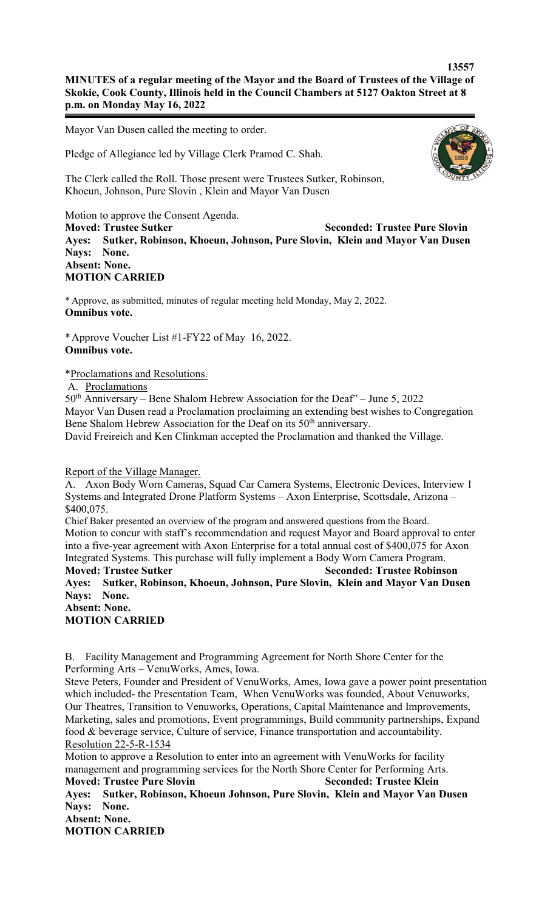## **13557 MINUTES of a regular meeting of the Mayor and the Board of Trustees of the Village of Skokie, Cook County, Illinois held in the Council Chambers at 5127 Oakton Street at 8 p.m. on Monday May 16, 2022**

Mayor Van Dusen called the meeting to order.

Pledge of Allegiance led by Village Clerk Pramod C. Shah.



The Clerk called the Roll. Those present were Trustees Sutker, Robinson, Khoeun, Johnson, Pure Slovin , Klein and Mayor Van Dusen

Motion to approve the Consent Agenda.

**Moved: Trustee Sutker Seconded: Trustee Pure Slovin Ayes: Sutker, Robinson, Khoeun, Johnson, Pure Slovin, Klein and Mayor Van Dusen Nays: None. Absent: None.**

**MOTION CARRIED**

\* Approve, as submitted, minutes of regular meeting held Monday, May 2, 2022. **Omnibus vote.**

\*Approve Voucher List #1-FY22 of May 16, 2022. **Omnibus vote.**

\*Proclamations and Resolutions.

A. Proclamations

50<sup>th</sup> Anniversary – Bene Shalom Hebrew Association for the Deaf" – June 5, 2022 Mayor Van Dusen read a Proclamation proclaiming an extending best wishes to Congregation Bene Shalom Hebrew Association for the Deaf on its  $50<sup>th</sup>$  anniversary. David Freireich and Ken Clinkman accepted the Proclamation and thanked the Village.

Report of the Village Manager.

A. Axon Body Worn Cameras, Squad Car Camera Systems, Electronic Devices, Interview 1 Systems and Integrated Drone Platform Systems – Axon Enterprise, Scottsdale, Arizona – \$400,075.

Chief Baker presented an overview of the program and answered questions from the Board. Motion to concur with staff's recommendation and request Mayor and Board approval to enter into a five-year agreement with Axon Enterprise for a total annual cost of \$400,075 for Axon Integrated Systems. This purchase will fully implement a Body Worn Camera Program. **Moved: Trustee Sutker Seconded: Trustee Robinson Ayes: Sutker, Robinson, Khoeun, Johnson, Pure Slovin, Klein and Mayor Van Dusen**

**Nays: None. Absent: None. MOTION CARRIED**

B. Facility Management and Programming Agreement for North Shore Center for the Performing Arts – VenuWorks, Ames, Iowa.

Steve Peters, Founder and President of VenuWorks, Ames, Iowa gave a power point presentation which included- the Presentation Team, When VenuWorks was founded, About Venuworks, Our Theatres, Transition to Venuworks, Operations, Capital Maintenance and Improvements, Marketing, sales and promotions, Event programmings, Build community partnerships, Expand food & beverage service, Culture of service, Finance transportation and accountability. Resolution 22-5-R-1534

Motion to approve a Resolution to enter into an agreement with VenuWorks for facility management and programming services for the North Shore Center for Performing Arts. **Moved: Trustee Pure Slovin Seconded: Trustee Klein** 

**Ayes: Sutker, Robinson, Khoeun Johnson, Pure Slovin, Klein and Mayor Van Dusen Nays: None. Absent: None.**

**MOTION CARRIED**